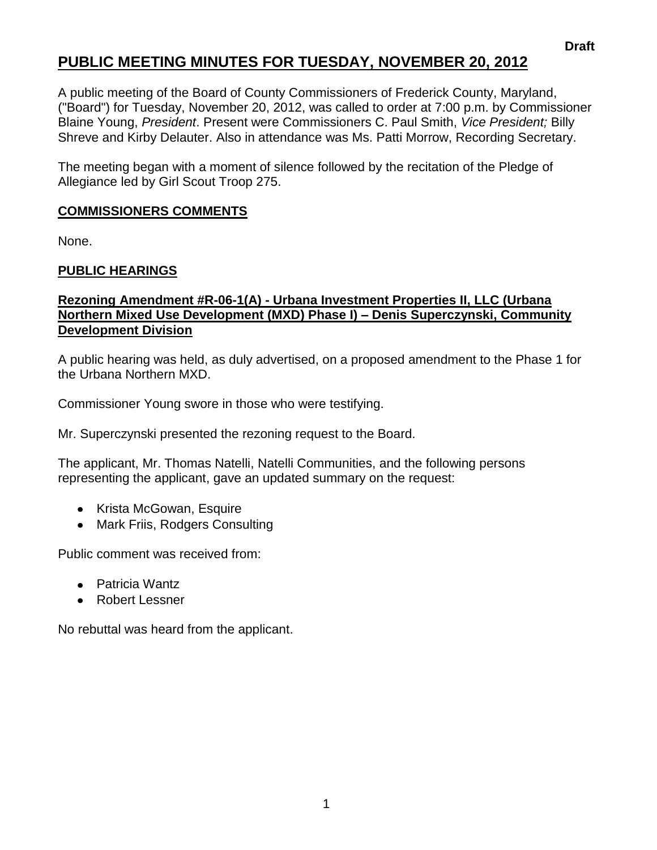# **PUBLIC MEETING MINUTES FOR TUESDAY, NOVEMBER 20, 2012**

A public meeting of the Board of County Commissioners of Frederick County, Maryland, ("Board") for Tuesday, November 20, 2012, was called to order at 7:00 p.m. by Commissioner Blaine Young, *President*. Present were Commissioners C. Paul Smith, *Vice President;* Billy Shreve and Kirby Delauter. Also in attendance was Ms. Patti Morrow, Recording Secretary.

The meeting began with a moment of silence followed by the recitation of the Pledge of Allegiance led by Girl Scout Troop 275.

### **COMMISSIONERS COMMENTS**

None.

## **PUBLIC HEARINGS**

#### **Rezoning Amendment #R-06-1(A) - Urbana Investment Properties II, LLC (Urbana Northern Mixed Use Development (MXD) Phase I) – Denis Superczynski, Community Development Division**

A public hearing was held, as duly advertised, on a proposed amendment to the Phase 1 for the Urbana Northern MXD.

Commissioner Young swore in those who were testifying.

Mr. Superczynski presented the rezoning request to the Board.

The applicant, Mr. Thomas Natelli, Natelli Communities, and the following persons representing the applicant, gave an updated summary on the request:

- Krista McGowan, Esquire
- Mark Friis, Rodgers Consulting

Public comment was received from:

- Patricia Wantz
- Robert Lessner

No rebuttal was heard from the applicant.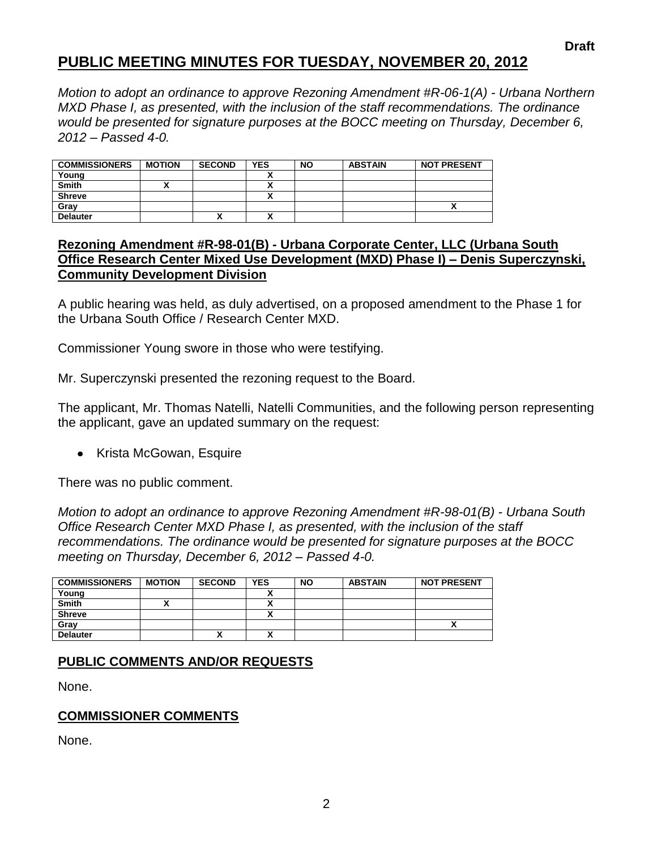# **PUBLIC MEETING MINUTES FOR TUESDAY, NOVEMBER 20, 2012**

*Motion to adopt an ordinance to approve Rezoning Amendment #R-06-1(A) - Urbana Northern MXD Phase I, as presented, with the inclusion of the staff recommendations. The ordinance would be presented for signature purposes at the BOCC meeting on Thursday, December 6, 2012 – Passed 4-0.*

| <b>COMMISSIONERS</b> | <b>MOTION</b> | <b>SECOND</b> | <b>YES</b> | <b>NO</b> | <b>ABSTAIN</b> | <b>NOT PRESENT</b> |
|----------------------|---------------|---------------|------------|-----------|----------------|--------------------|
| Young                |               |               |            |           |                |                    |
| <b>Smith</b>         |               |               |            |           |                |                    |
| <b>Shreve</b>        |               |               |            |           |                |                    |
| Grav                 |               |               |            |           |                |                    |
| <b>Delauter</b>      |               | Λ             |            |           |                |                    |

#### **Rezoning Amendment #R-98-01(B) - Urbana Corporate Center, LLC (Urbana South Office Research Center Mixed Use Development (MXD) Phase I) – Denis Superczynski, Community Development Division**

A public hearing was held, as duly advertised, on a proposed amendment to the Phase 1 for the Urbana South Office / Research Center MXD.

Commissioner Young swore in those who were testifying.

Mr. Superczynski presented the rezoning request to the Board.

The applicant, Mr. Thomas Natelli, Natelli Communities, and the following person representing the applicant, gave an updated summary on the request:

• Krista McGowan, Esquire

There was no public comment.

*Motion to adopt an ordinance to approve Rezoning Amendment #R-98-01(B) - Urbana South Office Research Center MXD Phase I, as presented, with the inclusion of the staff recommendations. The ordinance would be presented for signature purposes at the BOCC meeting on Thursday, December 6, 2012 – Passed 4-0.*

| <b>COMMISSIONERS</b> | <b>MOTION</b> | <b>SECOND</b> | <b>YES</b> | <b>NO</b> | <b>ABSTAIN</b> | <b>NOT PRESENT</b> |
|----------------------|---------------|---------------|------------|-----------|----------------|--------------------|
| Young                |               |               |            |           |                |                    |
| <b>Smith</b>         |               |               |            |           |                |                    |
| <b>Shreve</b>        |               |               |            |           |                |                    |
| Gray                 |               |               |            |           |                |                    |
| <b>Delauter</b>      |               | Λ             |            |           |                |                    |

#### **PUBLIC COMMENTS AND/OR REQUESTS**

None.

#### **COMMISSIONER COMMENTS**

None.